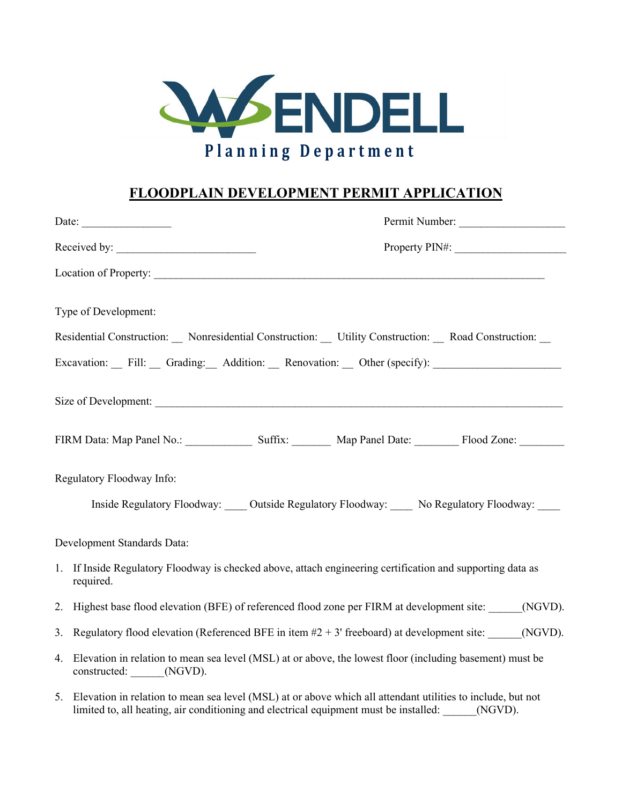

## **FLOODPLAIN DEVELOPMENT PERMIT APPLICATION**

|    | Permit Number:                                                                                                                                                                                                     |  |
|----|--------------------------------------------------------------------------------------------------------------------------------------------------------------------------------------------------------------------|--|
|    |                                                                                                                                                                                                                    |  |
|    |                                                                                                                                                                                                                    |  |
|    | Type of Development:                                                                                                                                                                                               |  |
|    | Residential Construction: Nonresidential Construction: Utility Construction: Road Construction: _                                                                                                                  |  |
|    | Excavation: Fill: Grading: Addition: Renovation: Other (specify):                                                                                                                                                  |  |
|    |                                                                                                                                                                                                                    |  |
|    | FIRM Data: Map Panel No.: Suffix: Map Panel Date: Flood Zone:                                                                                                                                                      |  |
|    | Regulatory Floodway Info:                                                                                                                                                                                          |  |
|    | Inside Regulatory Floodway: Outside Regulatory Floodway: No Regulatory Floodway:                                                                                                                                   |  |
|    | Development Standards Data:                                                                                                                                                                                        |  |
| 1. | If Inside Regulatory Floodway is checked above, attach engineering certification and supporting data as<br>required.                                                                                               |  |
| 2. | Highest base flood elevation (BFE) of referenced flood zone per FIRM at development site: (NGVD).                                                                                                                  |  |
| 3. | Regulatory flood elevation (Referenced BFE in item $#2 + 3'$ freeboard) at development site: (NGVD).                                                                                                               |  |
| 4. | Elevation in relation to mean sea level (MSL) at or above, the lowest floor (including basement) must be<br>constructed: ______(NGVD).                                                                             |  |
|    | 5. Elevation in relation to mean sea level (MSL) at or above which all attendant utilities to include, but not<br>limited to, all heating, air conditioning and electrical equipment must be installed:<br>(NGVD). |  |